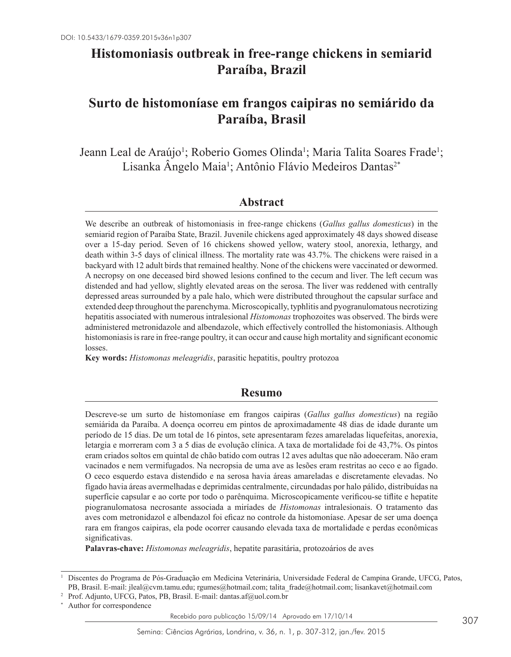# **Histomoniasis outbreak in free-range chickens in semiarid Paraíba, Brazil**

# **Surto de histomoníase em frangos caipiras no semiárido da Paraíba, Brasil**

Jeann Leal de Araújo<sup>1</sup>; Roberio Gomes Olinda<sup>1</sup>; Maria Talita Soares Frade<sup>1</sup>; Lisanka Angelo Maia<sup>1</sup>; Antônio Flávio Medeiros Dantas<sup>2\*</sup>

### **Abstract**

We describe an outbreak of histomoniasis in free-range chickens (*Gallus gallus domesticus*) in the semiarid region of Paraíba State, Brazil. Juvenile chickens aged approximately 48 days showed disease over a 15-day period. Seven of 16 chickens showed yellow, watery stool, anorexia, lethargy, and death within 3-5 days of clinical illness. The mortality rate was 43.7%. The chickens were raised in a backyard with 12 adult birds that remained healthy. None of the chickens were vaccinated or dewormed. A necropsy on one deceased bird showed lesions confined to the cecum and liver. The left cecum was distended and had yellow, slightly elevated areas on the serosa. The liver was reddened with centrally depressed areas surrounded by a pale halo, which were distributed throughout the capsular surface and extended deep throughout the parenchyma. Microscopically, typhlitis and pyogranulomatous necrotizing hepatitis associated with numerous intralesional *Histomonas* trophozoites was observed. The birds were administered metronidazole and albendazole, which effectively controlled the histomoniasis. Although histomoniasis is rare in free-range poultry, it can occur and cause high mortality and significant economic losses.

**Key words:** *Histomonas meleagridis*, parasitic hepatitis, poultry protozoa

#### **Resumo**

Descreve-se um surto de histomoníase em frangos caipiras (*Gallus gallus domesticus*) na região semiárida da Paraíba. A doença ocorreu em pintos de aproximadamente 48 dias de idade durante um período de 15 dias. De um total de 16 pintos, sete apresentaram fezes amareladas liquefeitas, anorexia, letargia e morreram com 3 a 5 dias de evolução clínica. A taxa de mortalidade foi de 43,7%. Os pintos eram criados soltos em quintal de chão batido com outras 12 aves adultas que não adoeceram. Não eram vacinados e nem vermifugados. Na necropsia de uma ave as lesões eram restritas ao ceco e ao fígado. O ceco esquerdo estava distendido e na serosa havia áreas amareladas e discretamente elevadas. No fígado havia áreas avermelhadas e deprimidas centralmente, circundadas por halo pálido, distribuídas na superfície capsular e ao corte por todo o parênquima. Microscopicamente verificou-se tiflite e hepatite piogranulomatosa necrosante associada a miríades de *Histomonas* intralesionais. O tratamento das aves com metronidazol e albendazol foi eficaz no controle da histomoníase. Apesar de ser uma doença rara em frangos caipiras, ela pode ocorrer causando elevada taxa de mortalidade e perdas econômicas significativas.

**Palavras-chave:** *Histomonas meleagridis*, hepatite parasitária, protozoários de aves

<sup>1</sup> Discentes do Programa de Pós-Graduação em Medicina Veterinária, Universidade Federal de Campina Grande, UFCG, Patos, PB, Brasil. E-mail: jleal@cvm.tamu.edu; rgumes@hotmail.com; talita\_frade@hotmail.com; lisankavet@hotmail.com

<sup>&</sup>lt;sup>2</sup> Prof. Adjunto, UFCG, Patos, PB, Brasil. E-mail: dantas.af@uol.com.br

Author for correspondence

Recebido para publicação 15/09/14 Aprovado em 17/10/14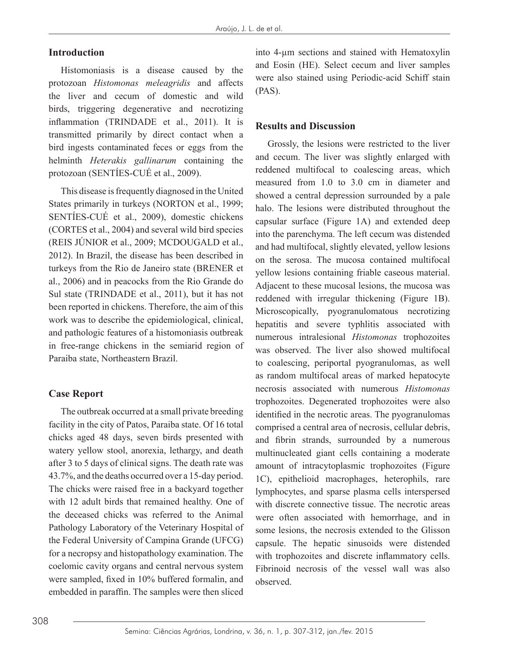## **Introduction**

Histomoniasis is a disease caused by the protozoan *Histomonas meleagridis* and affects the liver and cecum of domestic and wild birds, triggering degenerative and necrotizing inflammation (TRINDADE et al., 2011). It is transmitted primarily by direct contact when a bird ingests contaminated feces or eggs from the helminth *Heterakis gallinarum* containing the protozoan (SENTÍES-CUÉ et al., 2009).

This disease is frequently diagnosed in the United States primarily in turkeys (NORTON et al., 1999; SENTÍES-CUÉ et al., 2009), domestic chickens (CORTES et al., 2004) and several wild bird species (REIS JÚNIOR et al., 2009; MCDOUGALD et al., 2012). In Brazil, the disease has been described in turkeys from the Rio de Janeiro state (BRENER et al., 2006) and in peacocks from the Rio Grande do Sul state (TRINDADE et al., 2011), but it has not been reported in chickens. Therefore, the aim of this work was to describe the epidemiological, clinical, and pathologic features of a histomoniasis outbreak in free-range chickens in the semiarid region of Paraiba state, Northeastern Brazil.

# **Case Report**

The outbreak occurred at a small private breeding facility in the city of Patos, Paraiba state. Of 16 total chicks aged 48 days, seven birds presented with watery yellow stool, anorexia, lethargy, and death after 3 to 5 days of clinical signs. The death rate was 43.7%, and the deaths occurred over a 15-day period. The chicks were raised free in a backyard together with 12 adult birds that remained healthy. One of the deceased chicks was referred to the Animal Pathology Laboratory of the Veterinary Hospital of the Federal University of Campina Grande (UFCG) for a necropsy and histopathology examination. The coelomic cavity organs and central nervous system were sampled, fixed in 10% buffered formalin, and embedded in paraffin. The samples were then sliced

into 4-µm sections and stained with Hematoxylin and Eosin (HE). Select cecum and liver samples were also stained using Periodic-acid Schiff stain (PAS).

### **Results and Discussion**

Grossly, the lesions were restricted to the liver and cecum. The liver was slightly enlarged with reddened multifocal to coalescing areas, which measured from 1.0 to 3.0 cm in diameter and showed a central depression surrounded by a pale halo. The lesions were distributed throughout the capsular surface (Figure 1A) and extended deep into the parenchyma. The left cecum was distended and had multifocal, slightly elevated, yellow lesions on the serosa. The mucosa contained multifocal yellow lesions containing friable caseous material. Adjacent to these mucosal lesions, the mucosa was reddened with irregular thickening (Figure 1B). Microscopically, pyogranulomatous necrotizing hepatitis and severe typhlitis associated with numerous intralesional *Histomonas* trophozoites was observed. The liver also showed multifocal to coalescing, periportal pyogranulomas, as well as random multifocal areas of marked hepatocyte necrosis associated with numerous *Histomonas* trophozoites. Degenerated trophozoites were also identified in the necrotic areas. The pyogranulomas comprised a central area of necrosis, cellular debris, and fibrin strands, surrounded by a numerous multinucleated giant cells containing a moderate amount of intracytoplasmic trophozoites (Figure 1C), epithelioid macrophages, heterophils, rare lymphocytes, and sparse plasma cells interspersed with discrete connective tissue. The necrotic areas were often associated with hemorrhage, and in some lesions, the necrosis extended to the Glisson capsule. The hepatic sinusoids were distended with trophozoites and discrete inflammatory cells. Fibrinoid necrosis of the vessel wall was also observed.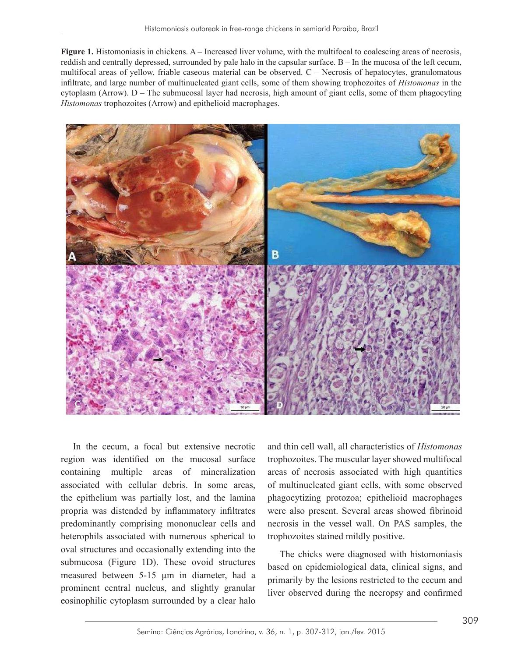Figure 1. Histomoniasis in chickens. A – Increased liver volume, with the multifocal to coalescing areas of necrosis, reddish and centrally depressed, surrounded by pale halo in the capsular surface. B – In the mucosa of the left cecum, multifocal areas of yellow, friable caseous material can be observed.  $C -$  Necrosis of hepatocytes, granulomatous multifocal areas of yellow, friable caseous material can be observed.  $C -$  Necrosis of hepatocytes, granulo infiltrate, and large number of multinucleated giant cells, some of them showing trophozoites of *Histomonas* in the extending the submucosal layer had necrosis, high amount of giant cells, some of them phagocyting cytoplasm (Arrow). D – The submucosal layer had necrosis, high amount of giant cells, some of them phagocyting *Histomonas* trophozoites (Arrow) and epithelioid macrophages.



the epithelium was partially lost, and the lamina In the cecum, a focal but extensive necrotic region was identified on the mucosal surface containing multiple areas of mineralization associated with cellular debris. In some areas, propria was distended by inflammatory infiltrates predominantly comprising mononuclear cells and heterophils associated with numerous spherical to oval structures and occasionally extending into the submucosa (Figure 1D). These ovoid structures measured between 5-15 µm in diameter, had a prominent central nucleus, and slightly granular eosinophilic cytoplasm surrounded by a clear halo

In the cecum, a focal but extensive necrotic and thin cell wall, all characteristics of *Histomonas* ontaining multiple areas of mineralization areas of necrosis associated with high quantities ssociated with cellular debris. In some areas, of multinucleated giant cells, with some observed trophozoites. The muscular layer showed multifocal phagocytizing protozoa; epithelioid macrophages were also present. Several areas showed fibrinoid necrosis in the vessel wall. On PAS samples, the trophozoites stained mildly positive.

> The chicks were diagnosed with histomoniasis based on epidemiological data, clinical signs, and primarily by the lesions restricted to the cecum and liver observed during the necropsy and confirmed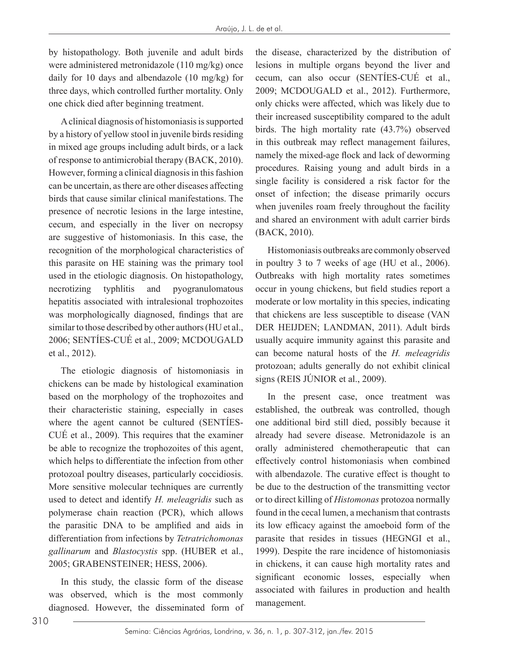by histopathology. Both juvenile and adult birds were administered metronidazole (110 mg/kg) once daily for 10 days and albendazole (10 mg/kg) for three days, which controlled further mortality. Only one chick died after beginning treatment.

A clinical diagnosis of histomoniasis is supported by a history of yellow stool in juvenile birds residing in mixed age groups including adult birds, or a lack of response to antimicrobial therapy (BACK, 2010). However, forming a clinical diagnosis in this fashion can be uncertain, as there are other diseases affecting birds that cause similar clinical manifestations. The presence of necrotic lesions in the large intestine, cecum, and especially in the liver on necropsy are suggestive of histomoniasis. In this case, the recognition of the morphological characteristics of this parasite on HE staining was the primary tool used in the etiologic diagnosis. On histopathology, necrotizing typhlitis and pyogranulomatous hepatitis associated with intralesional trophozoites was morphologically diagnosed, findings that are similar to those described by other authors (HU et al., 2006; SENTÍES-CUÉ et al., 2009; MCDOUGALD et al., 2012).

The etiologic diagnosis of histomoniasis in chickens can be made by histological examination based on the morphology of the trophozoites and their characteristic staining, especially in cases where the agent cannot be cultured (SENTÍES-CUÉ et al., 2009). This requires that the examiner be able to recognize the trophozoites of this agent, which helps to differentiate the infection from other protozoal poultry diseases, particularly coccidiosis. More sensitive molecular techniques are currently used to detect and identify *H. meleagridis* such as polymerase chain reaction (PCR), which allows the parasitic DNA to be amplified and aids in differentiation from infections by *Tetratrichomonas gallinarum* and *Blastocystis* spp. (HUBER et al., 2005; GRABENSTEINER; HESS, 2006).

In this study, the classic form of the disease was observed, which is the most commonly diagnosed. However, the disseminated form of the disease, characterized by the distribution of lesions in multiple organs beyond the liver and cecum, can also occur (SENTÍES-CUÉ et al., 2009; MCDOUGALD et al., 2012). Furthermore, only chicks were affected, which was likely due to their increased susceptibility compared to the adult birds. The high mortality rate (43.7%) observed in this outbreak may reflect management failures, namely the mixed-age flock and lack of deworming procedures. Raising young and adult birds in a single facility is considered a risk factor for the onset of infection; the disease primarily occurs when juveniles roam freely throughout the facility and shared an environment with adult carrier birds (BACK, 2010).

Histomoniasis outbreaks are commonly observed in poultry 3 to 7 weeks of age (HU et al., 2006). Outbreaks with high mortality rates sometimes occur in young chickens, but field studies report a moderate or low mortality in this species, indicating that chickens are less susceptible to disease (VAN DER HEIJDEN; LANDMAN, 2011). Adult birds usually acquire immunity against this parasite and can become natural hosts of the *H. meleagridis* protozoan; adults generally do not exhibit clinical signs (REIS JÚNIOR et al., 2009).

In the present case, once treatment was established, the outbreak was controlled, though one additional bird still died, possibly because it already had severe disease. Metronidazole is an orally administered chemotherapeutic that can effectively control histomoniasis when combined with albendazole. The curative effect is thought to be due to the destruction of the transmitting vector or to direct killing of *Histomonas* protozoa normally found in the cecal lumen, a mechanism that contrasts its low efficacy against the amoeboid form of the parasite that resides in tissues (HEGNGI et al., 1999). Despite the rare incidence of histomoniasis in chickens, it can cause high mortality rates and significant economic losses, especially when associated with failures in production and health management.